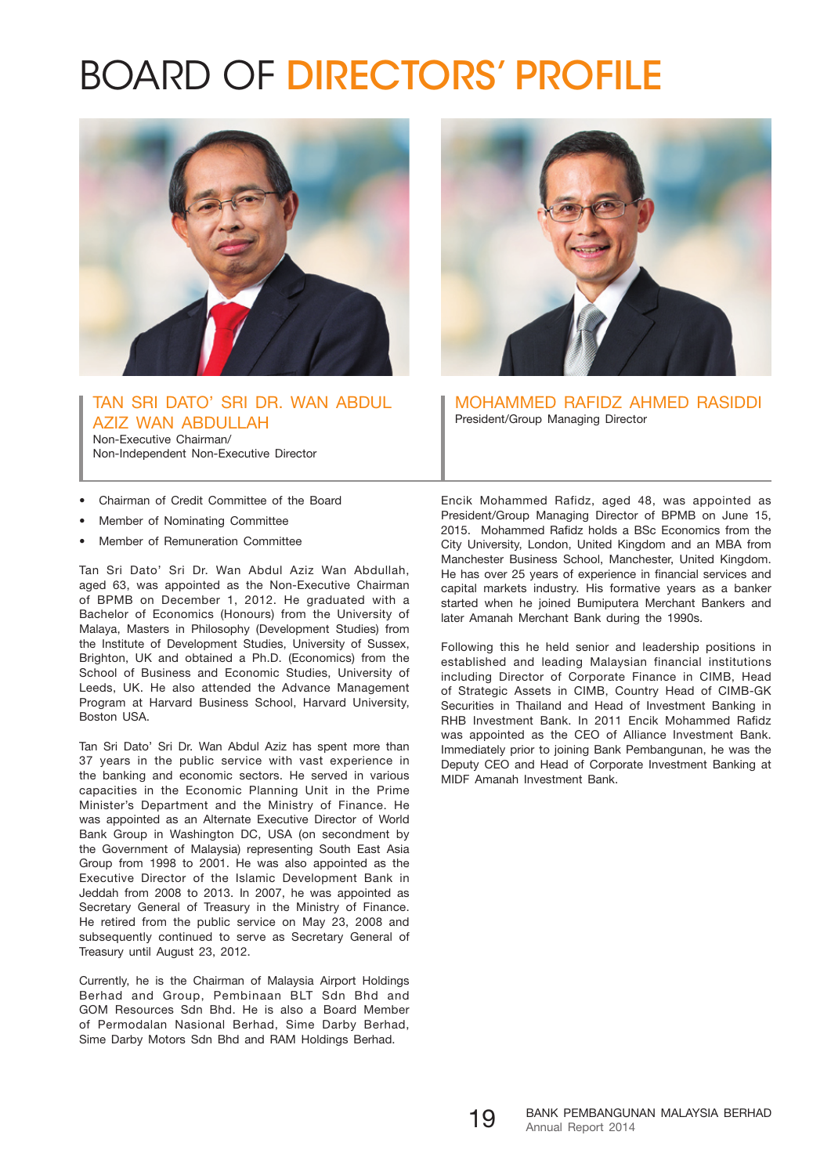## Board of Directors' Profile



TAN SRI DATO' SRI DR. WAN ABDUL AZIZ WAN ABDULLAH Non-Executive Chairman/ Non-Independent Non-Executive Director

• Chairman of Credit Committee of the Board

- Member of Nominating Committee
- Member of Remuneration Committee

Tan Sri Dato' Sri Dr. Wan Abdul Aziz Wan Abdullah, aged 63, was appointed as the Non-Executive Chairman of BPMB on December 1, 2012. He graduated with a Bachelor of Economics (Honours) from the University of Malaya, Masters in Philosophy (Development Studies) from the Institute of Development Studies, University of Sussex, Brighton, UK and obtained a Ph.D. (Economics) from the School of Business and Economic Studies, University of Leeds, UK. He also attended the Advance Management Program at Harvard Business School, Harvard University, Boston USA.

Tan Sri Dato' Sri Dr. Wan Abdul Aziz has spent more than 37 years in the public service with vast experience in the banking and economic sectors. He served in various capacities in the Economic Planning Unit in the Prime Minister's Department and the Ministry of Finance. He was appointed as an Alternate Executive Director of World Bank Group in Washington DC, USA (on secondment by the Government of Malaysia) representing South East Asia Group from 1998 to 2001. He was also appointed as the Executive Director of the Islamic Development Bank in Jeddah from 2008 to 2013. In 2007, he was appointed as Secretary General of Treasury in the Ministry of Finance. He retired from the public service on May 23, 2008 and subsequently continued to serve as Secretary General of Treasury until August 23, 2012.

Currently, he is the Chairman of Malaysia Airport Holdings Berhad and Group, Pembinaan BLT Sdn Bhd and GOM Resources Sdn Bhd. He is also a Board Member of Permodalan Nasional Berhad, Sime Darby Berhad, Sime Darby Motors Sdn Bhd and RAM Holdings Berhad.



MOHAMMED RAFIDZ AHMeD RASIDDI President/Group Managing Director

Encik Mohammed Rafidz, aged 48, was appointed as President/Group Managing Director of BPMB on June 15, 2015. Mohammed Rafidz holds a BSc Economics from the City University, London, United Kingdom and an MBA from Manchester Business School, Manchester, United Kingdom. He has over 25 years of experience in financial services and capital markets industry. His formative years as a banker started when he joined Bumiputera Merchant Bankers and later Amanah Merchant Bank during the 1990s.

Following this he held senior and leadership positions in established and leading Malaysian financial institutions including Director of Corporate Finance in CIMB, Head of Strategic Assets in CIMB, Country Head of CIMB-GK Securities in Thailand and Head of Investment Banking in RHB Investment Bank. In 2011 Encik Mohammed Rafidz was appointed as the CEO of Alliance Investment Bank. Immediately prior to joining Bank Pembangunan, he was the Deputy CEO and Head of Corporate Investment Banking at MIDF Amanah Investment Bank.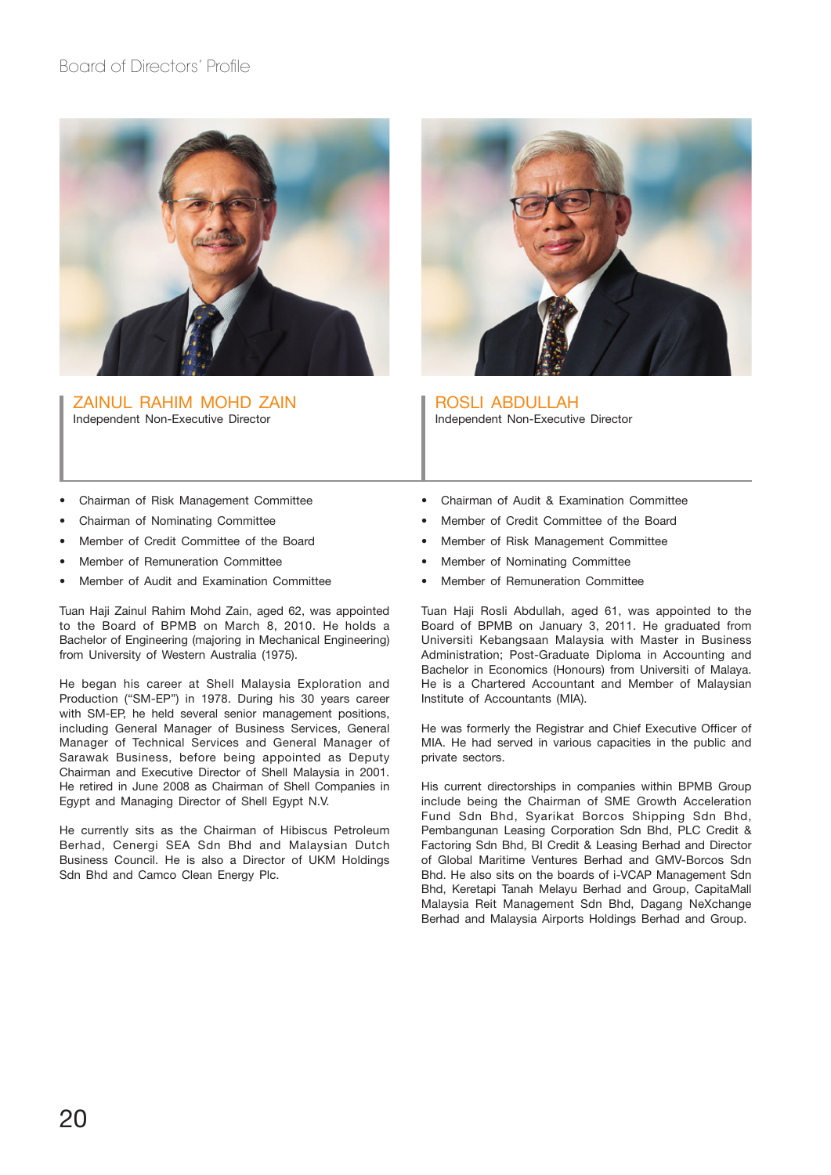

ZAINUL RAHIM MOHD ZAIN Independent Non-Executive Director



ROSLI ABDULLAH Independent Non-Executive Director

- Chairman of Risk Management Committee
- Chairman of Nominating Committee
- Member of Credit Committee of the Board
- Member of Remuneration Committee
- Member of Audit and Examination Committee

Tuan Haji Zainul Rahim Mohd Zain, aged 62, was appointed to the Board of BPMB on March 8, 2010. He holds a Bachelor of Engineering (majoring in Mechanical Engineering) from University of Western Australia (1975).

He began his career at Shell Malaysia Exploration and Production ("SM-EP") in 1978. During his 30 years career with SM-EP, he held several senior management positions, including General Manager of Business Services, General Manager of Technical Services and General Manager of Sarawak Business, before being appointed as Deputy Chairman and Executive Director of Shell Malaysia in 2001. He retired in June 2008 as Chairman of Shell Companies in Egypt and Managing Director of Shell Egypt N.V.

He currently sits as the Chairman of Hibiscus Petroleum Berhad, Cenergi SEA Sdn Bhd and Malaysian Dutch Business Council. He is also a Director of UKM Holdings Sdn Bhd and Camco Clean Energy Plc.

- Chairman of Audit & Examination Committee
- Member of Credit Committee of the Board
- Member of Risk Management Committee
- Member of Nominating Committee
- Member of Remuneration Committee

Tuan Haji Rosli Abdullah, aged 61, was appointed to the Board of BPMB on January 3, 2011. He graduated from Universiti Kebangsaan Malaysia with Master in Business Administration; Post-Graduate Diploma in Accounting and Bachelor in Economics (Honours) from Universiti of Malaya. He is a Chartered Accountant and Member of Malaysian Institute of Accountants (MIA).

He was formerly the Registrar and Chief Executive Officer of MIA. He had served in various capacities in the public and private sectors.

His current directorships in companies within BPMB Group include being the Chairman of SME Growth Acceleration Fund Sdn Bhd, Syarikat Borcos Shipping Sdn Bhd, Pembangunan Leasing Corporation Sdn Bhd, PLC Credit & Factoring Sdn Bhd, BI Credit & Leasing Berhad and Director of Global Maritime Ventures Berhad and GMV-Borcos Sdn Bhd. He also sits on the boards of i-VCAP Management Sdn Bhd, Keretapi Tanah Melayu Berhad and Group, CapitaMall Malaysia Reit Management Sdn Bhd, Dagang NeXchange Berhad and Malaysia Airports Holdings Berhad and Group.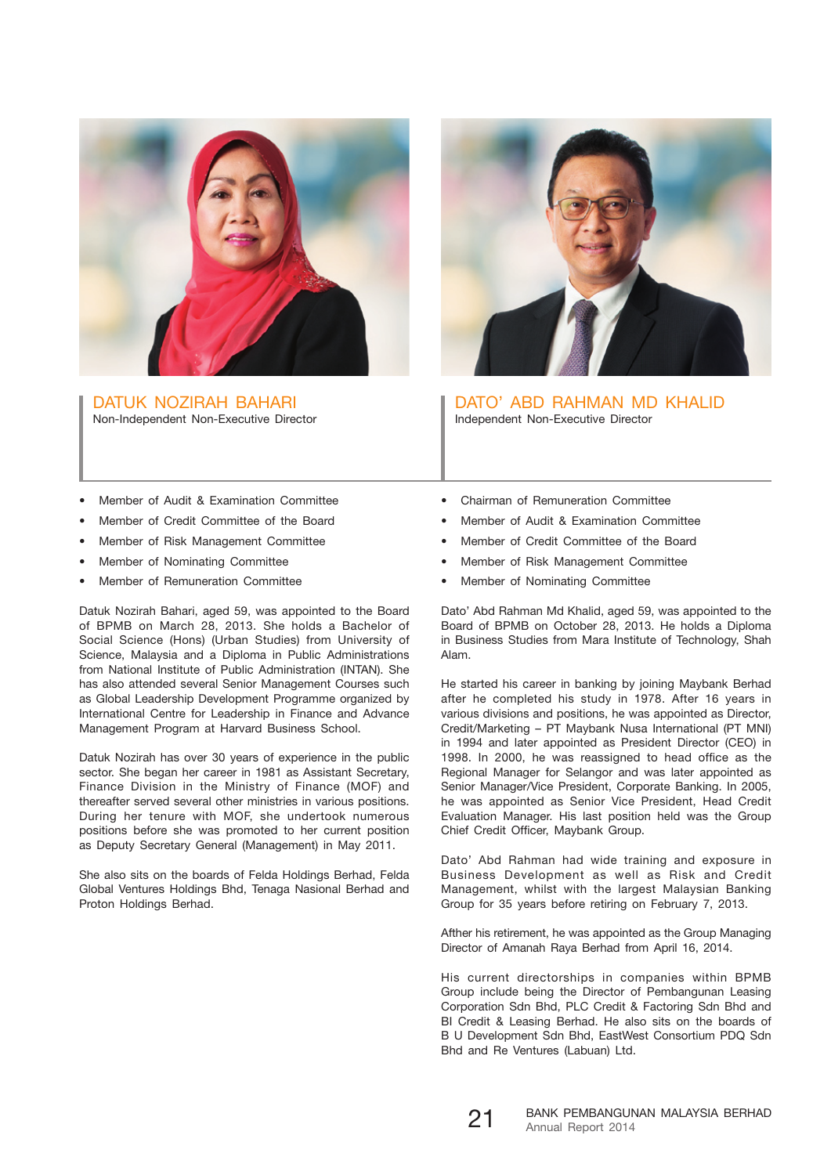

DATUK NOZIRAH BAHARI Non-Independent Non-Executive Director



DATO' ABD RAHMAN MD KHALID Independent Non-Executive Director

- Member of Audit & Examination Committee
- Member of Credit Committee of the Board
- Member of Risk Management Committee
- Member of Nominating Committee
- Member of Remuneration Committee

Datuk Nozirah Bahari, aged 59, was appointed to the Board of BPMB on March 28, 2013. She holds a Bachelor of Social Science (Hons) (Urban Studies) from University of Science, Malaysia and a Diploma in Public Administrations from National Institute of Public Administration (INTAN). She has also attended several Senior Management Courses such as Global Leadership Development Programme organized by International Centre for Leadership in Finance and Advance Management Program at Harvard Business School.

Datuk Nozirah has over 30 years of experience in the public sector. She began her career in 1981 as Assistant Secretary, Finance Division in the Ministry of Finance (MOF) and thereafter served several other ministries in various positions. During her tenure with MOF, she undertook numerous positions before she was promoted to her current position as Deputy Secretary General (Management) in May 2011.

She also sits on the boards of Felda Holdings Berhad, Felda Global Ventures Holdings Bhd, Tenaga Nasional Berhad and Proton Holdings Berhad.

- Chairman of Remuneration Committee
- Member of Audit & Examination Committee
- Member of Credit Committee of the Board
- Member of Risk Management Committee
- Member of Nominating Committee

Dato' Abd Rahman Md Khalid, aged 59, was appointed to the Board of BPMB on October 28, 2013. He holds a Diploma in Business Studies from Mara Institute of Technology, Shah Alam.

He started his career in banking by joining Maybank Berhad after he completed his study in 1978. After 16 years in various divisions and positions, he was appointed as Director, Credit/Marketing – PT Maybank Nusa International (PT MNI) in 1994 and later appointed as President Director (CEO) in 1998. In 2000, he was reassigned to head office as the Regional Manager for Selangor and was later appointed as Senior Manager/Vice President, Corporate Banking. In 2005, he was appointed as Senior Vice President, Head Credit Evaluation Manager. His last position held was the Group Chief Credit Officer, Maybank Group.

Dato' Abd Rahman had wide training and exposure in Business Development as well as Risk and Credit Management, whilst with the largest Malaysian Banking Group for 35 years before retiring on February 7, 2013.

Afther his retirement, he was appointed as the Group Managing Director of Amanah Raya Berhad from April 16, 2014.

His current directorships in companies within BPMB Group include being the Director of Pembangunan Leasing Corporation Sdn Bhd, PLC Credit & Factoring Sdn Bhd and BI Credit & Leasing Berhad. He also sits on the boards of B U Development Sdn Bhd, EastWest Consortium PDQ Sdn Bhd and Re Ventures (Labuan) Ltd.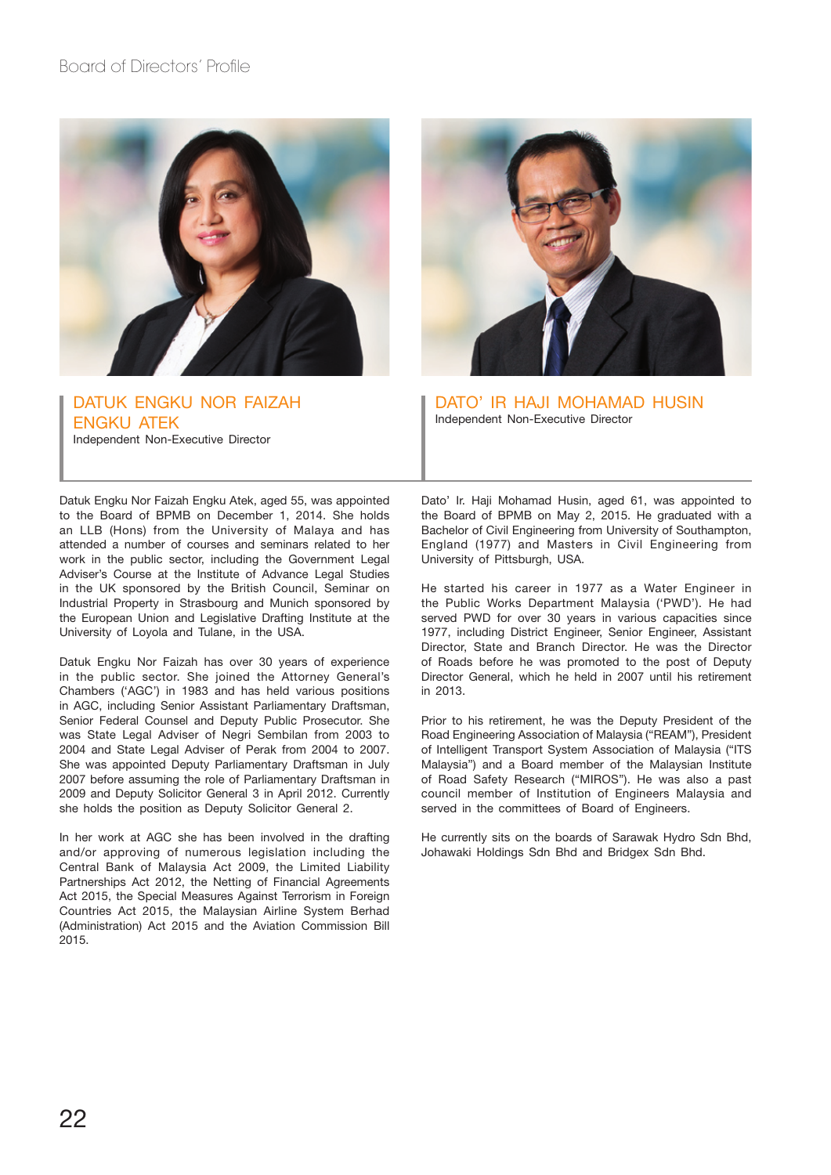

DATUK ENGKU NOR FAIZAH ENGKU ATEK Independent Non-Executive Director



DATO' IR HAJI MOHAMAD HUSIN Independent Non-Executive Director

Datuk Engku Nor Faizah Engku Atek, aged 55, was appointed to the Board of BPMB on December 1, 2014. She holds an LLB (Hons) from the University of Malaya and has attended a number of courses and seminars related to her work in the public sector, including the Government Legal Adviser's Course at the Institute of Advance Legal Studies in the UK sponsored by the British Council, Seminar on Industrial Property in Strasbourg and Munich sponsored by the European Union and Legislative Drafting Institute at the University of Loyola and Tulane, in the USA.

Datuk Engku Nor Faizah has over 30 years of experience in the public sector. She joined the Attorney General's Chambers ('AGC') in 1983 and has held various positions in AGC, including Senior Assistant Parliamentary Draftsman, Senior Federal Counsel and Deputy Public Prosecutor. She was State Legal Adviser of Negri Sembilan from 2003 to 2004 and State Legal Adviser of Perak from 2004 to 2007. She was appointed Deputy Parliamentary Draftsman in July 2007 before assuming the role of Parliamentary Draftsman in 2009 and Deputy Solicitor General 3 in April 2012. Currently she holds the position as Deputy Solicitor General 2.

In her work at AGC she has been involved in the drafting and/or approving of numerous legislation including the Central Bank of Malaysia Act 2009, the Limited Liability Partnerships Act 2012, the Netting of Financial Agreements Act 2015, the Special Measures Against Terrorism in Foreign Countries Act 2015, the Malaysian Airline System Berhad (Administration) Act 2015 and the Aviation Commission Bill 2015.

Dato' Ir. Haji Mohamad Husin, aged 61, was appointed to the Board of BPMB on May 2, 2015. He graduated with a Bachelor of Civil Engineering from University of Southampton, England (1977) and Masters in Civil Engineering from University of Pittsburgh, USA.

He started his career in 1977 as a Water Engineer in the Public Works Department Malaysia ('PWD'). He had served PWD for over 30 years in various capacities since 1977, including District Engineer, Senior Engineer, Assistant Director, State and Branch Director. He was the Director of Roads before he was promoted to the post of Deputy Director General, which he held in 2007 until his retirement in 2013.

Prior to his retirement, he was the Deputy President of the Road Engineering Association of Malaysia ("REAM"), President of Intelligent Transport System Association of Malaysia ("ITS Malaysia") and a Board member of the Malaysian Institute of Road Safety Research ("MIROS"). He was also a past council member of Institution of Engineers Malaysia and served in the committees of Board of Engineers.

He currently sits on the boards of Sarawak Hydro Sdn Bhd, Johawaki Holdings Sdn Bhd and Bridgex Sdn Bhd.